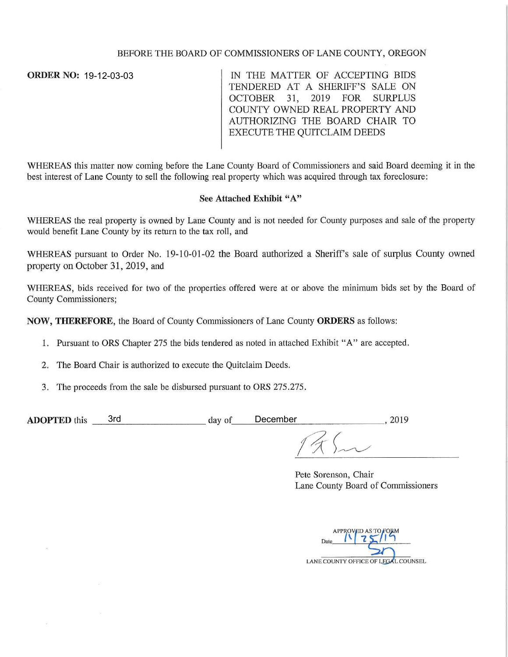## BEFORE THE BOARD OF COMMISSIONERS OF LANE COUNTY, OREGON

**ORDER NO:**  19-12-03-03

IN THE MATTER OF ACCEPTING BIDS TENDERED AT A SHERIFF'S SALE ON OCTOBER 31, 2019 FOR SURPLUS COUNTY OWNED REAL PROPERTY AND AUTHORIZING THE BOARD CHAIR TO EXECUTE THE QUITCLAIM DEEDS

WHEREAS this matter now coming before the Lane County Board of Commissioners and said Board deeming it in the best interest of Lane County to sell the following real property which was acquired through tax foreclosure:

## See **Attached Exhibit** "A"

WHEREAS the real property is owned by Lane County and is not needed for County purposes and sale of the property would benefit Lane County by its return to the tax roll, and

WHEREAS pursuant to Order No. 19-10-01-02 the Board authorized a Sheriff's sale of surplus County owned property on October 31, 2019, and

WHEREAS, bids received for two of the properties offered were at or above the minimum bids set by the Board of County Commissioners;

**NOW, THEREFORE,** the Board of County Commissioners of Lane County **ORDERS** as follows:

- 1. Pursuant to ORS Chapter 275 the bids tendered as noted in attached Exhibit "A" are accepted.
- 2. The Board Chair is authorized to execute the Quitclaim Deeds.
- 3. The proceeds from the sale be disbursed pursuant to ORS 275.275.

| <b>ADOPTED</b> this | 3rc | December<br>day of |  |
|---------------------|-----|--------------------|--|

Pete Sorenson, Chair Lane County Board of Commissioners

LANE COUNTY OFFICE OF LEGAL COUNSEL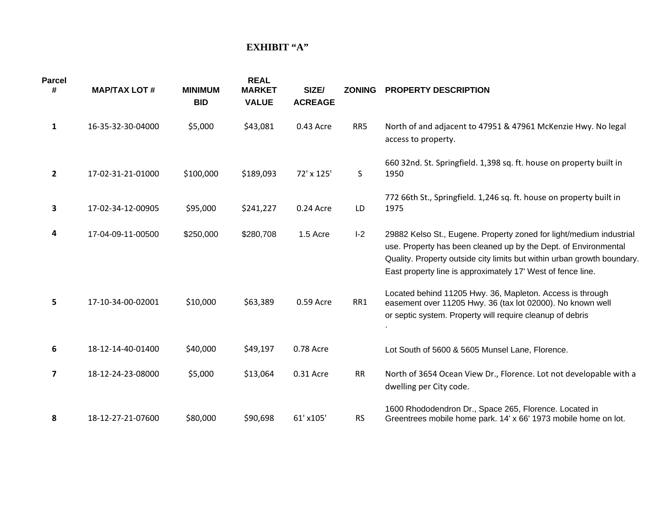## **EXHIBIT "A"**

| <b>Parcel</b><br># | <b>MAP/TAX LOT #</b> | <b>MINIMUM</b><br><b>BID</b> | <b>REAL</b><br><b>MARKET</b><br><b>VALUE</b> | SIZE/<br><b>ACREAGE</b> | <b>ZONING</b> | <b>PROPERTY DESCRIPTION</b>                                                                                                                                                                                                                                                      |
|--------------------|----------------------|------------------------------|----------------------------------------------|-------------------------|---------------|----------------------------------------------------------------------------------------------------------------------------------------------------------------------------------------------------------------------------------------------------------------------------------|
| $\mathbf{1}$       | 16-35-32-30-04000    | \$5,000                      | \$43,081                                     | 0.43 Acre               | RR5           | North of and adjacent to 47951 & 47961 McKenzie Hwy. No legal<br>access to property.                                                                                                                                                                                             |
| $\overline{2}$     | 17-02-31-21-01000    | \$100,000                    | \$189,093                                    | 72' x 125'              | S             | 660 32nd. St. Springfield. 1,398 sq. ft. house on property built in<br>1950                                                                                                                                                                                                      |
| 3                  | 17-02-34-12-00905    | \$95,000                     | \$241,227                                    | 0.24 Acre               | LD            | 772 66th St., Springfield. 1,246 sq. ft. house on property built in<br>1975                                                                                                                                                                                                      |
| 4                  | 17-04-09-11-00500    | \$250,000                    | \$280,708                                    | 1.5 Acre                | $I-2$         | 29882 Kelso St., Eugene. Property zoned for light/medium industrial<br>use. Property has been cleaned up by the Dept. of Environmental<br>Quality. Property outside city limits but within urban growth boundary.<br>East property line is approximately 17' West of fence line. |
| 5                  | 17-10-34-00-02001    | \$10,000                     | \$63,389                                     | 0.59 Acre               | RR1           | Located behind 11205 Hwy. 36, Mapleton. Access is through<br>easement over 11205 Hwy. 36 (tax lot 02000). No known well<br>or septic system. Property will require cleanup of debris                                                                                             |
| 6                  | 18-12-14-40-01400    | \$40,000                     | \$49,197                                     | 0.78 Acre               |               | Lot South of 5600 & 5605 Munsel Lane, Florence.                                                                                                                                                                                                                                  |
| 7                  | 18-12-24-23-08000    | \$5,000                      | \$13,064                                     | 0.31 Acre               | <b>RR</b>     | North of 3654 Ocean View Dr., Florence. Lot not developable with a<br>dwelling per City code.                                                                                                                                                                                    |
| 8                  | 18-12-27-21-07600    | \$80,000                     | \$90,698                                     | 61' x105'               | <b>RS</b>     | 1600 Rhododendron Dr., Space 265, Florence. Located in<br>Greentrees mobile home park. 14' x 66' 1973 mobile home on lot.                                                                                                                                                        |